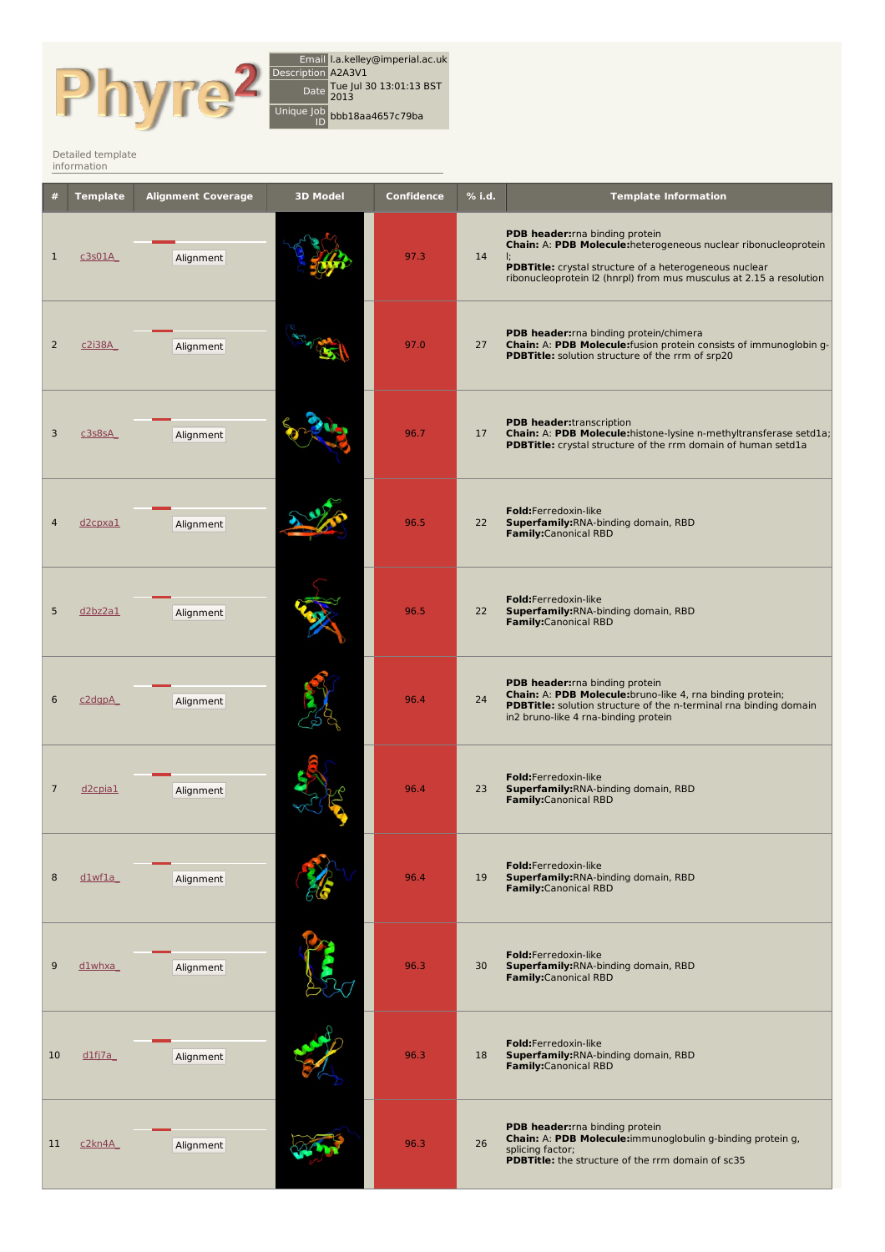

Email l.a.kelley@imperial.ac.uk Description A2A3V1 Date Tue Jul 30 13:01:13 BST Unique Job ID bbb18aa4657c79ba

Detailed [template](http://www.sbg.bio.ic.ac.uk/phyre2/index.cgi) information

|                | <b>Template</b>     | <b>Alignment Coverage</b> | <b>3D Model</b> | <b>Confidence</b> | $%$ i.d. | <b>Template Information</b>                                                                                                                                                                                                                      |
|----------------|---------------------|---------------------------|-----------------|-------------------|----------|--------------------------------------------------------------------------------------------------------------------------------------------------------------------------------------------------------------------------------------------------|
| $\mathbf 1$    | c3s01A              | Alignment                 |                 | 97.3              | 14       | PDB header: rna binding protein<br>Chain: A: PDB Molecule: heterogeneous nuclear ribonucleoprotein<br>Ŀ.<br><b>PDBTitle:</b> crystal structure of a heterogeneous nuclear<br>ribonucleoprotein I2 (hnrpl) from mus musculus at 2.15 a resolution |
| $\overline{2}$ | c2i38A              | Alignment                 |                 | 97.0              | 27       | PDB header: rna binding protein/chimera<br>Chain: A: PDB Molecule:fusion protein consists of immunoglobin g-<br>PDBTitle: solution structure of the rrm of srp20                                                                                 |
| 3              | c3s8sA              | Alignment                 |                 | 96.7              | 17       | <b>PDB header:</b> transcription<br>Chain: A: PDB Molecule: histone-lysine n-methyltransferase setd1a;<br>PDBTitle: crystal structure of the rrm domain of human setdla                                                                          |
|                | d2cpxa1             | Alignment                 |                 | 96.5              | 22       | Fold:Ferredoxin-like<br>Superfamily: RNA-binding domain, RBD<br>Family:Canonical RBD                                                                                                                                                             |
| 5              | d2bz2a1             | Alignment                 |                 | 96.5              | 22       | Fold:Ferredoxin-like<br>Superfamily: RNA-binding domain, RBD<br>Family:Canonical RBD                                                                                                                                                             |
| 6              | c2dgpA              | Alignment                 |                 | 96.4              | 24       | PDB header: rna binding protein<br>Chain: A: PDB Molecule: bruno-like 4, rna binding protein;<br>PDBTitle: solution structure of the n-terminal rna binding domain<br>in2 bruno-like 4 rna-binding protein                                       |
| $\overline{7}$ | $d2$ cpia $1$       | Alignment                 |                 | 96.4              | 23       | Fold:Ferredoxin-like<br>Superfamily: RNA-binding domain, RBD<br>Family:Canonical RBD                                                                                                                                                             |
| 8              | dlwf1a              | Alignment                 |                 | 96.4              | 19       | Fold:Ferredoxin-like<br>Superfamily: RNA-binding domain, RBD<br><b>Family:</b> Canonical RBD                                                                                                                                                     |
| 9              | d1whxa              | Alignment                 |                 | 96.3              | 30       | Fold:Ferredoxin-like<br>Superfamily: RNA-binding domain, RBD<br><b>Family:</b> Canonical RBD                                                                                                                                                     |
| 10             | $dlf$ <i>j</i> $7a$ | Alignment                 |                 | 96.3              | 18       | Fold:Ferredoxin-like<br>Superfamily: RNA-binding domain, RBD<br><b>Family:</b> Canonical RBD                                                                                                                                                     |
| 11             | c2kn4A              | Alignment                 |                 | 96.3              | 26       | PDB header: rna binding protein<br>Chain: A: PDB Molecule: immunoglobulin g-binding protein g,<br>splicing factor;<br><b>PDBTitle:</b> the structure of the rrm domain of sc35                                                                   |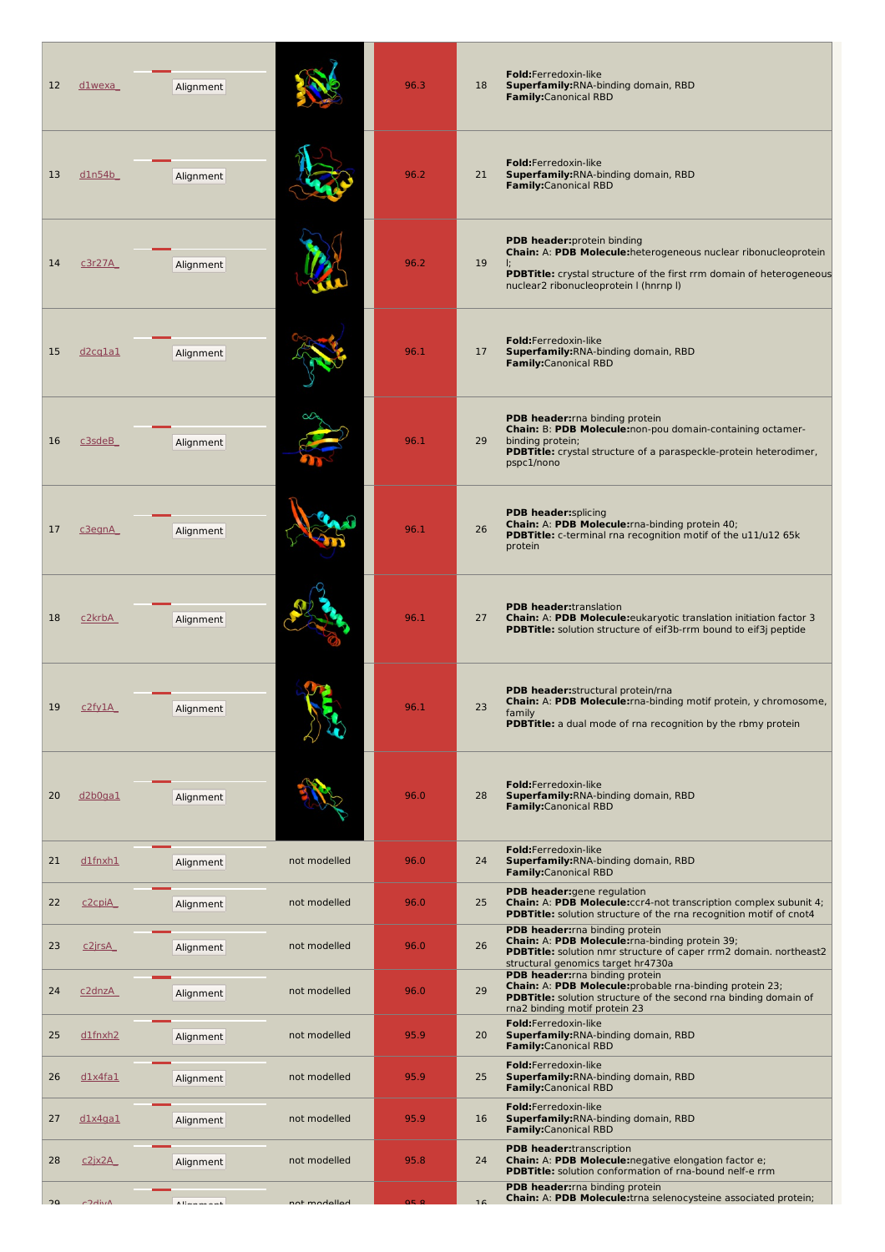| 12 | d1wexa             | Alignment     |              | 96.3  | Fold:Ferredoxin-like<br>Superfamily: RNA-binding domain, RBD<br>18<br><b>Family:</b> Canonical RBD                                                                                                               |                                                                      |
|----|--------------------|---------------|--------------|-------|------------------------------------------------------------------------------------------------------------------------------------------------------------------------------------------------------------------|----------------------------------------------------------------------|
| 13 | dln54b             | Alignment     |              | 96.2  | Fold:Ferredoxin-like<br>Superfamily: RNA-binding domain, RBD<br>21<br><b>Family:</b> Canonical RBD                                                                                                               |                                                                      |
| 14 | c3r27A             | Alignment     |              | 96.2  | <b>PDB header:</b> protein binding<br>Chain: A: PDB Molecule: heterogeneous nuclear ribonucleoprotein<br>19<br>nuclear2 ribonucleoprotein I (hnrnp I)                                                            | PDBTitle: crystal structure of the first rrm domain of heterogeneous |
| 15 | d2cq1a1            | Alignment     |              | 96.1  | Fold:Ferredoxin-like<br>Superfamily: RNA-binding domain, RBD<br>17<br><b>Family:</b> Canonical RBD                                                                                                               |                                                                      |
| 16 | c3sdeB             | Alignment     |              | 96.1  | <b>PDB header:</b> rna binding protein<br>Chain: B: PDB Molecule:non-pou domain-containing octamer-<br>29<br>binding protein;<br>PDBTitle: crystal structure of a paraspeckle-protein heterodimer,<br>pspc1/nono |                                                                      |
| 17 | c3egnA             | Alignment     |              | 96.1  | <b>PDB header:</b> splicing<br>Chain: A: PDB Molecule: rna-binding protein 40;<br>26<br><b>PDBTitle:</b> c-terminal rna recognition motif of the u11/u12 65k<br>protein                                          |                                                                      |
| 18 | c2krbA             | Alignment     |              | 96.1  | <b>PDB header:</b> translation<br>Chain: A: PDB Molecule: eukaryotic translation initiation factor 3<br>27<br>PDBTitle: solution structure of eif3b-rrm bound to eif3j peptide                                   |                                                                      |
|    | <u>CZTYIA</u>      | Alignment     |              | 90. L | <b>PDB header:</b> structural protein/rna<br>Chain: A: PDB Molecule: rna-binding motif protein, y chromosome,<br>23<br>family<br><b>PDBTitle:</b> a dual mode of rna recognition by the rbmy protein             |                                                                      |
| 20 | d2b0ga1            | Alignment     |              | 96.0  | Fold:Ferredoxin-like<br>Superfamily: RNA-binding domain, RBD<br>28<br>Family:Canonical RBD                                                                                                                       |                                                                      |
| 21 | dlfnxh1            | Alignment     | not modelled | 96.0  | Fold:Ferredoxin-like<br>24<br>Superfamily: RNA-binding domain, RBD<br><b>Family:</b> Canonical RBD                                                                                                               |                                                                      |
| 22 | c <sub>2cpiA</sub> | Alignment     | not modelled | 96.0  | PDB header: gene regulation<br>25<br>Chain: A: PDB Molecule:ccr4-not transcription complex subunit 4;<br>PDBTitle: solution structure of the rna recognition motif of cnot4                                      |                                                                      |
| 23 | <u>c2jrsA</u>      | Alignment     | not modelled | 96.0  | PDB header: rna binding protein<br>Chain: A: PDB Molecule: rna-binding protein 39;<br>26<br>PDBTitle: solution nmr structure of caper rrm2 domain. northeast2<br>structural genomics target hr4730a              |                                                                      |
| 24 | <u>c2dnzA</u>      | Alignment     | not modelled | 96.0  | PDB header: rna binding protein<br>Chain: A: PDB Molecule: probable rna-binding protein 23;<br>29<br><b>PDBTitle:</b> solution structure of the second rna binding domain of<br>rna2 binding motif protein 23    |                                                                      |
| 25 | dlfnxh2            | Alignment     | not modelled | 95.9  | Fold:Ferredoxin-like<br>20<br>Superfamily: RNA-binding domain, RBD<br>Family:Canonical RBD                                                                                                                       |                                                                      |
| 26 | dlx4fa1            | Alignment     | not modelled | 95.9  | Fold:Ferredoxin-like<br>25<br>Superfamily: RNA-binding domain, RBD<br><b>Family:</b> Canonical RBD                                                                                                               |                                                                      |
| 27 | <u>dlx4gal</u>     | Alignment     | not modelled | 95.9  | Fold:Ferredoxin-like<br>Superfamily: RNA-binding domain, RBD<br>16<br><b>Family:</b> Canonical RBD                                                                                                               |                                                                      |
| 28 | <u>c2jx2A</u>      | Alignment     | not modelled | 95.8  | <b>PDB header:</b> transcription<br>24<br>Chain: A: PDB Molecule: negative elongation factor e;<br>PDBTitle: solution conformation of rna-bound nelf-e rrm                                                       |                                                                      |
| 20 | COdivA             | Alternational | not modelled | Q5 8  | PDB header: rna binding protein<br>Chain: A: PDB Molecule:trna selenocysteine associated protein;<br>16                                                                                                          |                                                                      |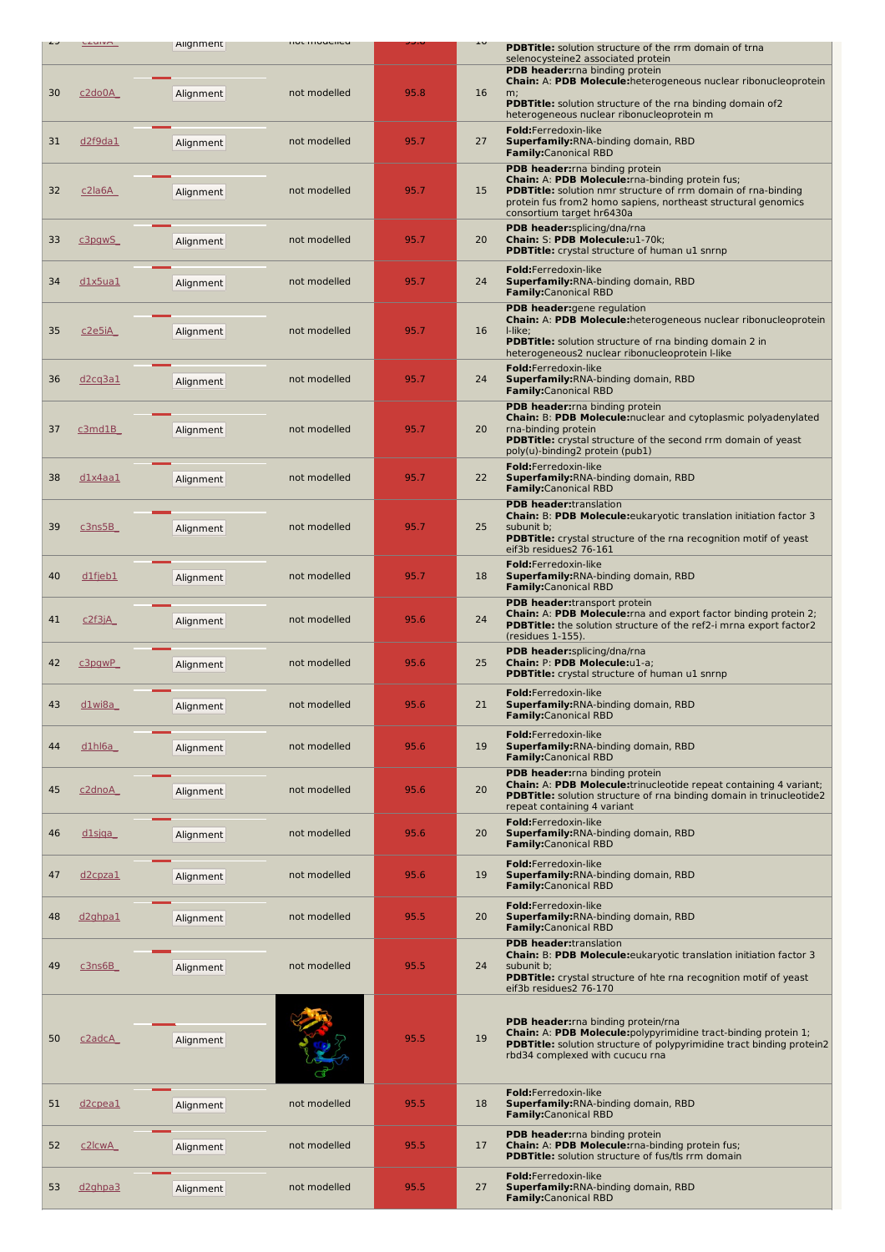|    | <b>LZUIVA</b>                    | Alignment | <b>HOL HIDUEIRU</b> |      | τn | <b>PDBTitle:</b> solution structure of the rrm domain of trna                                                                                                                   |
|----|----------------------------------|-----------|---------------------|------|----|---------------------------------------------------------------------------------------------------------------------------------------------------------------------------------|
|    |                                  |           |                     |      |    | selenocysteine2 associated protein<br>PDB header: rna binding protein<br>Chain: A: PDB Molecule: heterogeneous nuclear ribonucleoprotein                                        |
| 30 | c2do0A                           | Alignment | not modelled        | 95.8 | 16 | m;<br><b>PDBTitle:</b> solution structure of the rna binding domain of 2                                                                                                        |
|    |                                  |           |                     |      |    | heterogeneous nuclear ribonucleoprotein m<br>Fold:Ferredoxin-like                                                                                                               |
| 31 | d2f9da1                          | Alignment | not modelled        | 95.7 | 27 | Superfamily: RNA-binding domain, RBD<br><b>Family:</b> Canonical RBD                                                                                                            |
|    |                                  |           |                     |      |    | PDB header: rna binding protein<br>Chain: A: PDB Molecule: rna-binding protein fus;                                                                                             |
| 32 | $c2$ la6A                        | Alignment | not modelled        | 95.7 | 15 | PDBTitle: solution nmr structure of rrm domain of rna-binding<br>protein fus from2 homo sapiens, northeast structural genomics<br>consortium target hr6430a                     |
| 33 | c3pgwS                           | Alignment | not modelled        | 95.7 | 20 | PDB header:splicing/dna/rna<br>Chain: S: PDB Molecule:u1-70k;                                                                                                                   |
|    |                                  |           |                     |      |    | <b>PDBTitle:</b> crystal structure of human u1 snrnp<br>Fold:Ferredoxin-like                                                                                                    |
| 34 | dlx5ua1                          | Alignment | not modelled        | 95.7 | 24 | <b>Superfamily: RNA-binding domain, RBD</b><br><b>Family:</b> Canonical RBD                                                                                                     |
|    |                                  |           |                     |      |    | PDB header: gene regulation<br>Chain: A: PDB Molecule: heterogeneous nuclear ribonucleoprotein                                                                                  |
| 35 | c2e5iA                           | Alignment | not modelled        | 95.7 | 16 | I-like;<br><b>PDBTitle:</b> solution structure of rna binding domain 2 in<br>heterogeneous2 nuclear ribonucleoprotein I-like                                                    |
| 36 | d2cq3a1                          | Alignment | not modelled        | 95.7 | 24 | Fold:Ferredoxin-like<br><b>Superfamily: RNA-binding domain, RBD</b>                                                                                                             |
|    |                                  |           |                     |      |    | <b>Family:</b> Canonical RBD<br>PDB header: rna binding protein                                                                                                                 |
| 37 | c3mdB                            | Alignment | not modelled        | 95.7 | 20 | Chain: B: PDB Molecule: nuclear and cytoplasmic polyadenylated<br>rna-binding protein                                                                                           |
|    |                                  |           |                     |      |    | <b>PDBTitle:</b> crystal structure of the second rrm domain of yeast<br>poly(u)-binding2 protein (pub1)                                                                         |
| 38 | dlx4aa1                          | Alignment | not modelled        | 95.7 | 22 | Fold:Ferredoxin-like<br><b>Superfamily: RNA-binding domain, RBD</b><br><b>Family:</b> Canonical RBD                                                                             |
|    |                                  |           |                     |      |    | <b>PDB header:</b> translation<br><b>Chain: B: PDB Molecule:</b> eukaryotic translation initiation factor 3                                                                     |
| 39 | c3n5B                            | Alignment | not modelled        | 95.7 | 25 | subunit b;<br><b>PDBTitle:</b> crystal structure of the rna recognition motif of yeast<br>eif3b residues2 76-161                                                                |
| 40 | $dl$ fjeb $1$                    | Alignment | not modelled        | 95.7 | 18 | Fold:Ferredoxin-like<br><b>Superfamily: RNA-binding domain, RBD</b>                                                                                                             |
|    |                                  |           |                     |      |    | <b>Family:</b> Canonical RBD<br>PDB header:transport protein                                                                                                                    |
| 41 | c2f3jA                           | Alignment | not modelled        | 95.6 | 24 | Chain: A: PDB Molecule: rna and export factor binding protein 2;<br>PDBTitle: the solution structure of the ref2-i mrna export factor2<br>(residues 1-155).                     |
| 42 | $c3$ pgwP                        | Alignment | not modelled        | 95.6 | 25 | PDB header:splicing/dna/rna<br>Chain: P: PDB Molecule:u1-a;<br><b>PDBTitle:</b> crystal structure of human u1 snrnp                                                             |
| 43 | $\underline{\text{dlwiba}}$      | Alignment | not modelled        | 95.6 | 21 | <b>Fold:</b> Ferredoxin-like<br>Superfamily: RNA-binding domain, RBD<br><b>Family:</b> Canonical RBD                                                                            |
| 44 | $dlh$ 6a                         |           | not modelled        | 95.6 | 19 | Fold:Ferredoxin-like<br>Superfamily: RNA-binding domain, RBD                                                                                                                    |
|    |                                  | Alignment |                     |      |    | <b>Family:</b> Canonical RBD<br>PDB header: rna binding protein                                                                                                                 |
| 45 | c <sub>2</sub> dnoA              | Alignment | not modelled        | 95.6 | 20 | Chain: A: PDB Molecule:trinucleotide repeat containing 4 variant;<br><b>PDBTitle:</b> solution structure of rna binding domain in trinucleotide2<br>repeat containing 4 variant |
| 46 | $dl$ sjqa                        | Alignment | not modelled        | 95.6 | 20 | Fold:Ferredoxin-like<br><b>Superfamily: RNA-binding domain, RBD</b>                                                                                                             |
|    |                                  |           |                     |      |    | <b>Family:</b> Canonical RBD<br>Fold:Ferredoxin-like                                                                                                                            |
| 47 | $d2$ cpza $1$                    | Alignment | not modelled        | 95.6 | 19 | Superfamily: RNA-binding domain, RBD<br><b>Family:</b> Canonical RBD                                                                                                            |
| 48 | d <sub>2</sub> ghpa <sub>1</sub> | Alignment | not modelled        | 95.5 | 20 | Fold:Ferredoxin-like<br>Superfamily: RNA-binding domain, RBD<br><b>Family:</b> Canonical RBD                                                                                    |
| 49 |                                  |           | not modelled        | 95.5 | 24 | <b>PDB header:</b> translation<br>Chain: B: PDB Molecule: eukaryotic translation initiation factor 3<br>subunit b;                                                              |
|    | <u>c3ns6B_</u>                   | Alignment |                     |      |    | <b>PDBTitle:</b> crystal structure of hte rna recognition motif of yeast<br>eif3b residues2 76-170                                                                              |
|    |                                  |           |                     |      |    | PDB header: rna binding protein/rna                                                                                                                                             |
| 50 | c2adcA                           | Alignment |                     | 95.5 | 19 | Chain: A: PDB Molecule: polypyrimidine tract-binding protein 1;<br><b>PDBTitle:</b> solution structure of polypyrimidine tract binding protein2                                 |
|    |                                  |           |                     |      |    | rbd34 complexed with cucucu rna                                                                                                                                                 |
|    |                                  |           |                     |      |    | Fold:Ferredoxin-like                                                                                                                                                            |
| 51 | d <sub>2</sub> cpeal             | Alignment | not modelled        | 95.5 | 18 | <b>Superfamily: RNA-binding domain, RBD</b><br><b>Family:</b> Canonical RBD                                                                                                     |
| 52 | c2lcwA                           | Alignment | not modelled        | 95.5 | 17 | PDB header: rna binding protein<br>Chain: A: PDB Molecule: rna-binding protein fus;<br>PDBTitle: solution structure of fus/tls rrm domain                                       |
| 53 | d <sub>2</sub> ghpa <sub>3</sub> | Alignment | not modelled        | 95.5 | 27 | Fold:Ferredoxin-like<br>Superfamily: RNA-binding domain, RBD                                                                                                                    |
|    |                                  |           |                     |      |    | <b>Family:</b> Canonical RBD                                                                                                                                                    |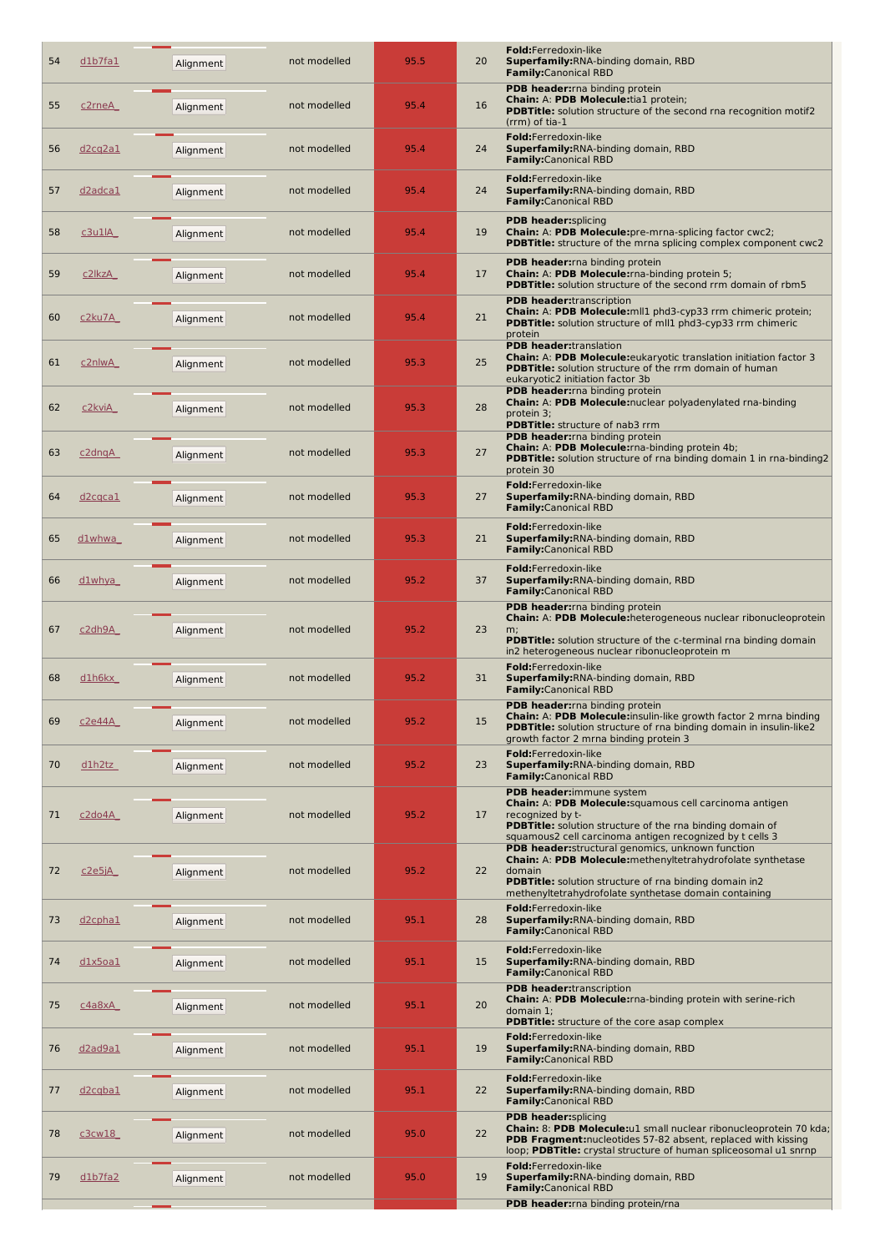| 54 | dlb7fa1                          | Alignment | not modelled | 95.5 | 20 | Fold:Ferredoxin-like<br>Superfamily: RNA-binding domain, RBD<br><b>Family:</b> Canonical RBD                                                                                                                                          |
|----|----------------------------------|-----------|--------------|------|----|---------------------------------------------------------------------------------------------------------------------------------------------------------------------------------------------------------------------------------------|
| 55 | c2rneA                           | Alignment | not modelled | 95.4 | 16 | PDB header: rna binding protein<br>Chain: A: PDB Molecule:tia1 protein;<br><b>PDBTitle:</b> solution structure of the second rna recognition motif2<br>(rrm) of tia-1                                                                 |
| 56 | d <sub>2cq2a1</sub>              | Alignment | not modelled | 95.4 | 24 | Fold:Ferredoxin-like<br>Superfamily: RNA-binding domain, RBD<br><b>Family:</b> Canonical RBD                                                                                                                                          |
| 57 | <u>d2adca1</u>                   | Alignment | not modelled | 95.4 | 24 | Fold:Ferredoxin-like<br><b>Superfamily: RNA-binding domain, RBD</b><br><b>Family:</b> Canonical RBD                                                                                                                                   |
| 58 | c3u1lA                           | Alignment | not modelled | 95.4 | 19 | <b>PDB header:</b> splicing<br>Chain: A: PDB Molecule: pre-mrna-splicing factor cwc2;<br><b>PDBTitle:</b> structure of the mrna splicing complex component cwc2                                                                       |
| 59 | c2lkzA                           | Alignment | not modelled | 95.4 | 17 | <b>PDB header:</b> rna binding protein<br>Chain: A: PDB Molecule: rna-binding protein 5;<br>PDBTitle: solution structure of the second rrm domain of rbm5                                                                             |
| 60 | <u>c2ku7A_</u>                   | Alignment | not modelled | 95.4 | 21 | <b>PDB header:</b> transcription<br>Chain: A: PDB Molecule: mll1 phd3-cyp33 rrm chimeric protein;<br>PDBTitle: solution structure of mll1 phd3-cyp33 rrm chimeric<br>protein                                                          |
| 61 | c2nlwA                           | Alignment | not modelled | 95.3 | 25 | <b>PDB header:translation</b><br><b>Chain: A: PDB Molecule:</b> eukaryotic translation initiation factor 3<br>PDBTitle: solution structure of the rrm domain of human<br>eukaryotic2 initiation factor 3b                             |
| 62 | <u>c2kviA</u>                    | Alignment | not modelled | 95.3 | 28 | PDB header: rna binding protein<br>Chain: A: PDB Molecule:nuclear polyadenylated rna-binding<br>protein 3;<br>PDBTitle: structure of nab3 rrm                                                                                         |
| 63 | $c2$ dnq $A$                     | Alignment | not modelled | 95.3 | 27 | PDB header: rna binding protein<br>Chain: A: PDB Molecule: rna-binding protein 4b;<br><b>PDBTitle:</b> solution structure of rna binding domain 1 in rna-binding2<br>protein 30                                                       |
| 64 | d <sub>2</sub> cqca1             | Alignment | not modelled | 95.3 | 27 | Fold:Ferredoxin-like<br>Superfamily: RNA-binding domain, RBD<br><b>Family:</b> Canonical RBD                                                                                                                                          |
| 65 | dlwhwa                           | Alignment | not modelled | 95.3 | 21 | Fold:Ferredoxin-like<br>Superfamily: RNA-binding domain, RBD<br><b>Family:</b> Canonical RBD                                                                                                                                          |
| 66 | d1whya                           | Alignment | not modelled | 95.2 | 37 | Fold:Ferredoxin-like<br><b>Superfamily: RNA-binding domain, RBD</b><br><b>Family:</b> Canonical RBD                                                                                                                                   |
| 67 | c2dh9A                           | Alignment | not modelled | 95.2 | 23 | PDB header: rna binding protein<br>Chain: A: PDB Molecule: heterogeneous nuclear ribonucleoprotein<br>m;<br><b>PDBTitle:</b> solution structure of the c-terminal rna binding domain<br>in2 heterogeneous nuclear ribonucleoprotein m |
| 68 | d1h6kx                           | Alignment | not modelled | 95.2 | 31 | Fold:Ferredoxin-like<br>Superfamily: RNA-binding domain, RBD<br><b>Family:</b> Canonical RBD                                                                                                                                          |
| 69 | c2e44A                           | Alignment | not modelled | 95.2 | 15 | <b>PDB header:</b> rna binding protein<br>Chain: A: PDB Molecule:insulin-like growth factor 2 mrna binding<br><b>PDBTitle:</b> solution structure of rna binding domain in insulin-like2<br>growth factor 2 mrna binding protein 3    |
| 70 | d1h2tz                           | Alignment | not modelled | 95.2 | 23 | <b>Fold:</b> Ferredoxin-like<br>Superfamily: RNA-binding domain, RBD<br><b>Family:</b> Canonical RBD                                                                                                                                  |
| 71 | <u>c2do4A</u>                    | Alignment | not modelled | 95.2 | 17 | PDB header:immune system<br>Chain: A: PDB Molecule: squamous cell carcinoma antigen<br>recognized by t-<br><b>PDBTitle:</b> solution structure of the rna binding domain of                                                           |
| 72 | c2e5jA                           | Alignment | not modelled | 95.2 | 22 | squamous2 cell carcinoma antigen recognized by t cells 3<br>PDB header: structural genomics, unknown function<br>Chain: A: PDB Molecule: methenyltetrahydrofolate synthetase<br>domain                                                |
| 73 | d <sub>2</sub> cpha <sub>1</sub> | Alignment | not modelled | 95.1 | 28 | <b>PDBTitle:</b> solution structure of rna binding domain in2<br>methenyltetrahydrofolate synthetase domain containing<br>Fold:Ferredoxin-like<br>Superfamily: RNA-binding domain, RBD                                                |
| 74 | dlx5oa1                          |           | not modelled | 95.1 | 15 | <b>Family:</b> Canonical RBD<br>Fold:Ferredoxin-like<br>Superfamily: RNA-binding domain, RBD                                                                                                                                          |
|    |                                  | Alignment |              |      |    | <b>Family:</b> Canonical RBD<br><b>PDB header:</b> transcription<br><b>Chain: A: PDB Molecule:</b> rna-binding protein with serine-rich                                                                                               |
| 75 | c4a8xA                           | Alignment | not modelled | 95.1 | 20 | domain $1$ ;<br><b>PDBTitle:</b> structure of the core asap complex                                                                                                                                                                   |
| 76 | d2ad9a1                          | Alignment | not modelled | 95.1 | 19 | Fold:Ferredoxin-like<br>Superfamily: RNA-binding domain, RBD<br><b>Family:</b> Canonical RBD                                                                                                                                          |
| 77 | <u>d2cqbal</u>                   | Alignment | not modelled | 95.1 | 22 | Fold:Ferredoxin-like<br>Superfamily: RNA-binding domain, RBD<br><b>Family:</b> Canonical RBD<br><b>PDB header:</b> splicing                                                                                                           |
| 78 | c3cw18                           | Alignment | not modelled | 95.0 | 22 | Chain: 8: PDB Molecule:u1 small nuclear ribonucleoprotein 70 kda;<br>PDB Fragment: nucleotides 57-82 absent, replaced with kissing<br>loop; PDBTitle: crystal structure of human spliceosomal u1 snrnp                                |
| 79 | <u>d1b7fa2</u>                   | Alignment | not modelled | 95.0 | 19 | Fold:Ferredoxin-like<br>Superfamily: RNA-binding domain, RBD<br><b>Family:</b> Canonical RBD                                                                                                                                          |
|    |                                  |           |              |      |    | PDB header: rna binding protein/rna                                                                                                                                                                                                   |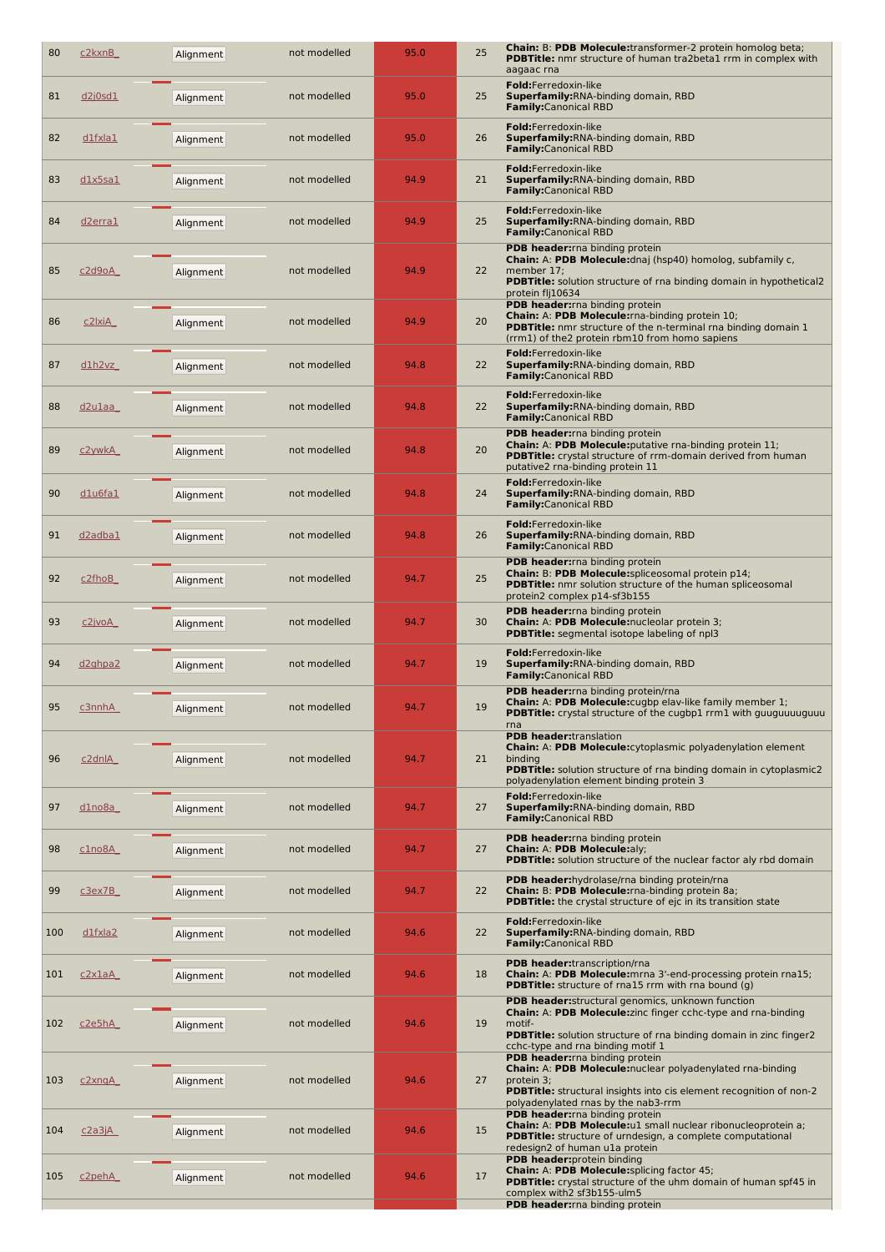| 80  | c <sub>2</sub> kxnB              | Alignment | not modelled | 95.0 | Chain: B: PDB Molecule:transformer-2 protein homolog beta;<br>25<br><b>PDBTitle:</b> nmr structure of human tra2beta1 rrm in complex with<br>aagaac rna                                                                                       |  |
|-----|----------------------------------|-----------|--------------|------|-----------------------------------------------------------------------------------------------------------------------------------------------------------------------------------------------------------------------------------------------|--|
| 81  | <u>d2j0sd1</u>                   | Alignment | not modelled | 95.0 | Fold:Ferredoxin-like<br>25<br><b>Superfamily: RNA-binding domain, RBD</b><br><b>Family:</b> Canonical RBD                                                                                                                                     |  |
| 82  | <u>d1fxla1</u>                   | Alignment | not modelled | 95.0 | Fold:Ferredoxin-like<br>26<br>Superfamily: RNA-binding domain, RBD<br><b>Family:</b> Canonical RBD                                                                                                                                            |  |
| 83  | dlx5sa1                          | Alignment | not modelled | 94.9 | Fold:Ferredoxin-like<br>21<br><b>Superfamily: RNA-binding domain, RBD</b><br><b>Family:</b> Canonical RBD                                                                                                                                     |  |
| 84  | d <sub>2</sub> erra1             | Alignment | not modelled | 94.9 | Fold:Ferredoxin-like<br>25<br>Superfamily: RNA-binding domain, RBD<br><b>Family:</b> Canonical RBD                                                                                                                                            |  |
| 85  | c2d9oA                           | Alignment | not modelled | 94.9 | PDB header: rna binding protein<br>Chain: A: PDB Molecule: dnaj (hsp40) homolog, subfamily c,<br>22<br>member 17;<br><b>PDBTitle:</b> solution structure of rna binding domain in hypothetical2<br>protein flj10634                           |  |
| 86  | <u>c2lxiA_</u>                   | Alignment | not modelled | 94.9 | <b>PDB header:</b> rna binding protein<br><b>Chain: A: PDB Molecule:</b> rna-binding protein 10;<br>20<br><b>PDBTitle:</b> nmr structure of the n-terminal rna binding domain 1<br>(rrm1) of the2 protein rbm10 from homo sapiens             |  |
| 87  | d1h2vz                           | Alignment | not modelled | 94.8 | Fold:Ferredoxin-like<br>22<br><b>Superfamily: RNA-binding domain, RBD</b><br><b>Family:</b> Canonical RBD                                                                                                                                     |  |
| 88  | <u>d2u1aa</u>                    | Alignment | not modelled | 94.8 | Fold:Ferredoxin-like<br>22<br><b>Superfamily: RNA-binding domain, RBD</b><br><b>Family:</b> Canonical RBD                                                                                                                                     |  |
| 89  | <u>c2ywkA_</u>                   | Alignment | not modelled | 94.8 | PDB header: rna binding protein<br><b>Chain: A: PDB Molecule:</b> putative rna-binding protein 11;<br>20<br><b>PDBTitle:</b> crystal structure of rrm-domain derived from human<br>putative2 rna-binding protein 11                           |  |
| 90  | <u>dlu6fal</u>                   | Alignment | not modelled | 94.8 | Fold:Ferredoxin-like<br>24<br><b>Superfamily: RNA-binding domain, RBD</b><br><b>Family:</b> Canonical RBD                                                                                                                                     |  |
| 91  | <u>d2adba1</u>                   | Alignment | not modelled | 94.8 | Fold:Ferredoxin-like<br>26<br><b>Superfamily: RNA-binding domain, RBD</b><br><b>Family:</b> Canonical RBD                                                                                                                                     |  |
| 92  | c <sub>2fhoB</sub>               | Alignment | not modelled | 94.7 | PDB header: rna binding protein<br>Chain: B: PDB Molecule: splice osomal protein p14;<br>25<br><b>PDBTitle:</b> nmr solution structure of the human spliceosomal<br>protein2 complex p14-sf3b155                                              |  |
| 93  | <u>c2jvoA</u>                    | Alignment | not modelled | 94.7 | <b>PDB header:</b> rna binding protein<br>30<br>Chain: A: PDB Molecule: nucleolar protein 3;<br><b>PDBTitle:</b> segmental isotope labeling of npl3                                                                                           |  |
| 94  | d <sub>2</sub> ghpa <sub>2</sub> | Alignment | not modelled | 94.7 | Fold:Ferredoxin-like<br>19<br><b>Superfamily: RNA-binding domain, RBD</b><br><b>Family:</b> Canonical RBD                                                                                                                                     |  |
| 95  | <u>c3nnhA</u>                    | Alignment | not modelled | 94.7 | PDB header: rna binding protein/rna<br><b>Chain: A: PDB Molecule:</b> cugbp elav-like family member 1;<br>19<br><b>PDBTitle:</b> crystal structure of the cugbp1 rrm1 with guuguuuuguuu<br>rna                                                |  |
| 96  | $c2$ dnl $A$                     | Alignment | not modelled | 94.7 | <b>PDB header:</b> translation<br>Chain: A: PDB Molecule: cytoplasmic polyadenylation element<br>21<br>binding<br><b>PDBTitle:</b> solution structure of rna binding domain in cytoplasmic2<br>polyadenylation element binding protein 3      |  |
| 97  | <u>d1no8a</u>                    | Alignment | not modelled | 94.7 | Fold:Ferredoxin-like<br>Superfamily: RNA-binding domain, RBD<br>27<br><b>Family:</b> Canonical RBD                                                                                                                                            |  |
| 98  | clno8A                           | Alignment | not modelled | 94.7 | PDB header: rna binding protein<br>Chain: A: PDB Molecule:aly;<br>27<br>PDBTitle: solution structure of the nuclear factor aly rbd domain                                                                                                     |  |
| 99  | <u>c3ex7B</u>                    | Alignment | not modelled | 94.7 | PDB header:hydrolase/rna binding protein/rna<br>22<br>Chain: B: PDB Molecule: rna-binding protein 8a;<br>PDBTitle: the crystal structure of ejc in its transition state                                                                       |  |
| 100 | $dlf$ xla2                       | Alignment | not modelled | 94.6 | Fold:Ferredoxin-like<br>22<br><b>Superfamily: RNA-binding domain, RBD</b><br><b>Family:</b> Canonical RBD                                                                                                                                     |  |
| 101 | c2x1aA                           | Alignment | not modelled | 94.6 | PDB header:transcription/rna<br>Chain: A: PDB Molecule: mrna 3'-end-processing protein rna15;<br>18<br><b>PDBTitle:</b> structure of rna15 rrm with rna bound (g)                                                                             |  |
| 102 | c2e5hA                           | Alignment | not modelled | 94.6 | PDB header: structural genomics, unknown function<br>Chain: A: PDB Molecule: zinc finger cchc-type and rna-binding<br>19<br>motif-<br>PDBTitle: solution structure of rna binding domain in zinc finger2<br>cchc-type and rna binding motif 1 |  |
| 103 | c2xnqA                           | Alignment | not modelled | 94.6 | PDB header: rna binding protein<br>Chain: A: PDB Molecule:nuclear polyadenylated rna-binding<br>27<br>protein 3;<br><b>PDBTitle:</b> structural insights into cis element recognition of non-2<br>polyadenylated rnas by the nab3-rrm         |  |
| 104 | <u>c2a3jA</u>                    | Alignment | not modelled | 94.6 | PDB header: rna binding protein<br>Chain: A: PDB Molecule:u1 small nuclear ribonucleoprotein a;<br>15<br>PDBTitle: structure of urndesign, a complete computational<br>redesign2 of human u1a protein                                         |  |
| 105 | c <sub>2</sub> pehA              | Alignment | not modelled | 94.6 | PDB header: protein binding<br>Chain: A: PDB Molecule: splicing factor 45;<br>17<br><b>PDBTitle:</b> crystal structure of the uhm domain of human spf45 in<br>complex with2 sf3b155-ulm5                                                      |  |
|     |                                  |           |              |      | PDB header: rna binding protein                                                                                                                                                                                                               |  |